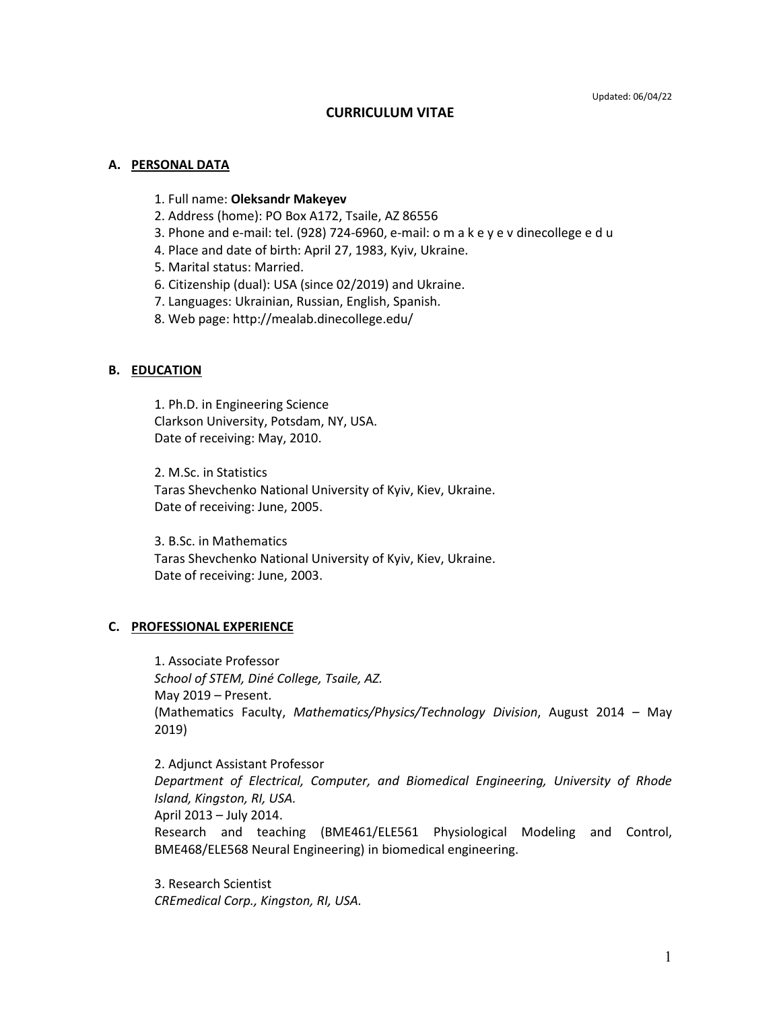### **CURRICULUM VITAE**

#### **A. PERSONAL DATA**

- 1. Full name: **Oleksandr Makeyev**
- 2. Address (home): PO Box A172, Tsaile, AZ 86556
- 3. Phone and e-mail: tel. (928) 724-6960, e-mail: o m a k e y e v dinecollege e d u
- 4. Place and date of birth: April 27, 1983, Kyiv, Ukraine.
- 5. Marital status: Married.
- 6. Citizenship (dual): USA (since 02/2019) and Ukraine.
- 7. Languages: Ukrainian, Russian, English, Spanish.
- 8. Web page: http://mealab.dinecollege.edu/

#### **B. EDUCATION**

1. Ph.D. in Engineering Science Clarkson University, Potsdam, NY, USA. Date of receiving: May, 2010.

2. M.Sc. in Statistics Taras Shevchenko National University of Kyiv, Kiev, Ukraine. Date of receiving: June, 2005.

3. B.Sc. in Mathematics Taras Shevchenko National University of Kyiv, Kiev, Ukraine. Date of receiving: June, 2003.

### **C. PROFESSIONAL EXPERIENCE**

1. Associate Professor *School of STEM, Diné College, Tsaile, AZ.* May 2019 – Present. (Mathematics Faculty, *Mathematics/Physics/Technology Division*, August 2014 – May 2019)

2. Adjunct Assistant Professor *Department of Electrical, Computer, and Biomedical Engineering, University of Rhode Island, Kingston, RI, USA.* April 2013 – July 2014. Research and teaching (BME461/ELE561 Physiological Modeling and Control, BME468/ELE568 Neural Engineering) in biomedical engineering.

3. Research Scientist *CREmedical Corp., Kingston, RI, USA.*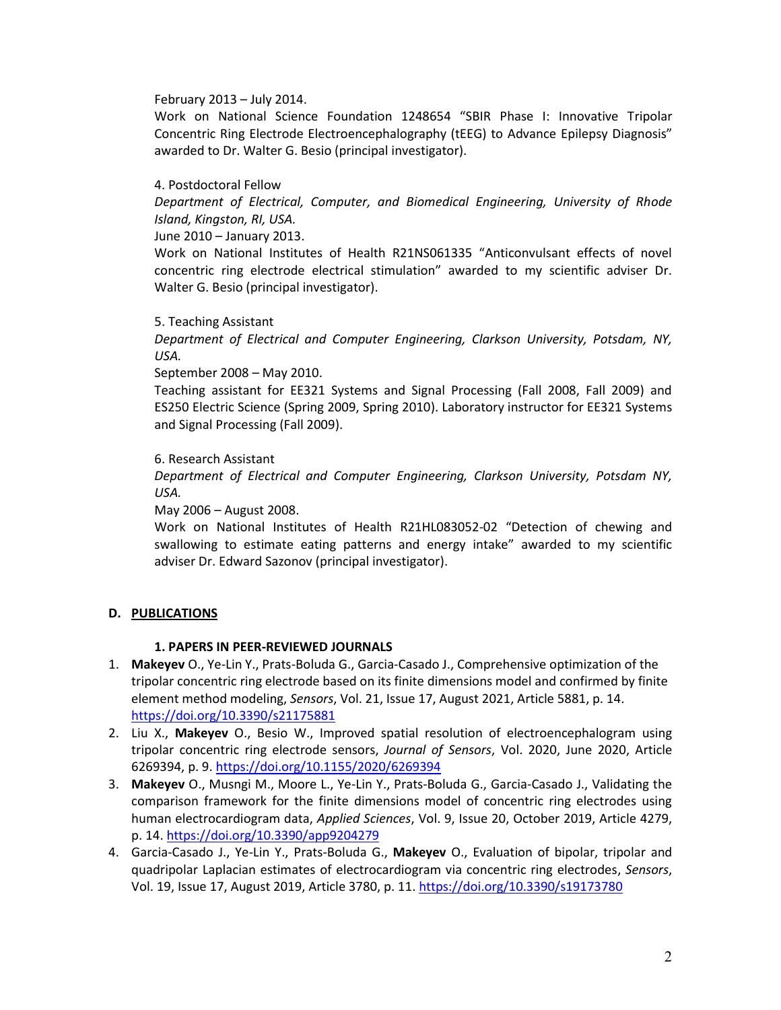#### February 2013 – July 2014.

Work on National Science Foundation 1248654 "SBIR Phase I: Innovative Tripolar Concentric Ring Electrode Electroencephalography (tEEG) to Advance Epilepsy Diagnosis" awarded to Dr. Walter G. Besio (principal investigator).

### 4. Postdoctoral Fellow

*Department of Electrical, Computer, and Biomedical Engineering, University of Rhode Island, Kingston, RI, USA.*

June 2010 – January 2013.

Work on National Institutes of Health R21NS061335 "Anticonvulsant effects of novel concentric ring electrode electrical stimulation" awarded to my scientific adviser Dr. Walter G. Besio (principal investigator).

#### 5. Teaching Assistant

*Department of Electrical and Computer Engineering, Clarkson University, Potsdam, NY, USA.*

September 2008 – May 2010.

Teaching assistant for EE321 Systems and Signal Processing (Fall 2008, Fall 2009) and ES250 Electric Science (Spring 2009, Spring 2010). Laboratory instructor for EE321 Systems and Signal Processing (Fall 2009).

6. Research Assistant

*Department of Electrical and Computer Engineering, Clarkson University, Potsdam NY, USA.*

May 2006 – August 2008.

Work on National Institutes of Health R21HL083052-02 "Detection of chewing and swallowing to estimate eating patterns and energy intake" awarded to my scientific adviser Dr. Edward Sazonov (principal investigator).

### **D. PUBLICATIONS**

### **1. PAPERS IN PEER-REVIEWED JOURNALS**

- 1. **Makeyev** O., Ye-Lin Y., Prats-Boluda G., Garcia-Casado J., Comprehensive optimization of the tripolar concentric ring electrode based on its finite dimensions model and confirmed by finite element method modeling, *Sensors*, Vol. 21, Issue 17, August 2021, Article 5881, p. 14. <https://doi.org/10.3390/s21175881>
- 2. Liu X., **Makeyev** O., Besio W., Improved spatial resolution of electroencephalogram using tripolar concentric ring electrode sensors, *Journal of Sensors*, Vol. 2020, June 2020, Article 6269394, p. 9.<https://doi.org/10.1155/2020/6269394>
- 3. **Makeyev** O., Musngi M., Moore L., Ye-Lin Y., Prats-Boluda G., Garcia-Casado J., Validating the comparison framework for the finite dimensions model of concentric ring electrodes using human electrocardiogram data, *Applied Sciences*, Vol. 9, Issue 20, October 2019, Article 4279, p. 14. <https://doi.org/10.3390/app9204279>
- 4. Garcia-Casado J., Ye-Lin Y., Prats-Boluda G., **Makeyev** O., Evaluation of bipolar, tripolar and quadripolar Laplacian estimates of electrocardiogram via concentric ring electrodes, *Sensors*, Vol. 19, Issue 17, August 2019, Article 3780, p. 11. <https://doi.org/10.3390/s19173780>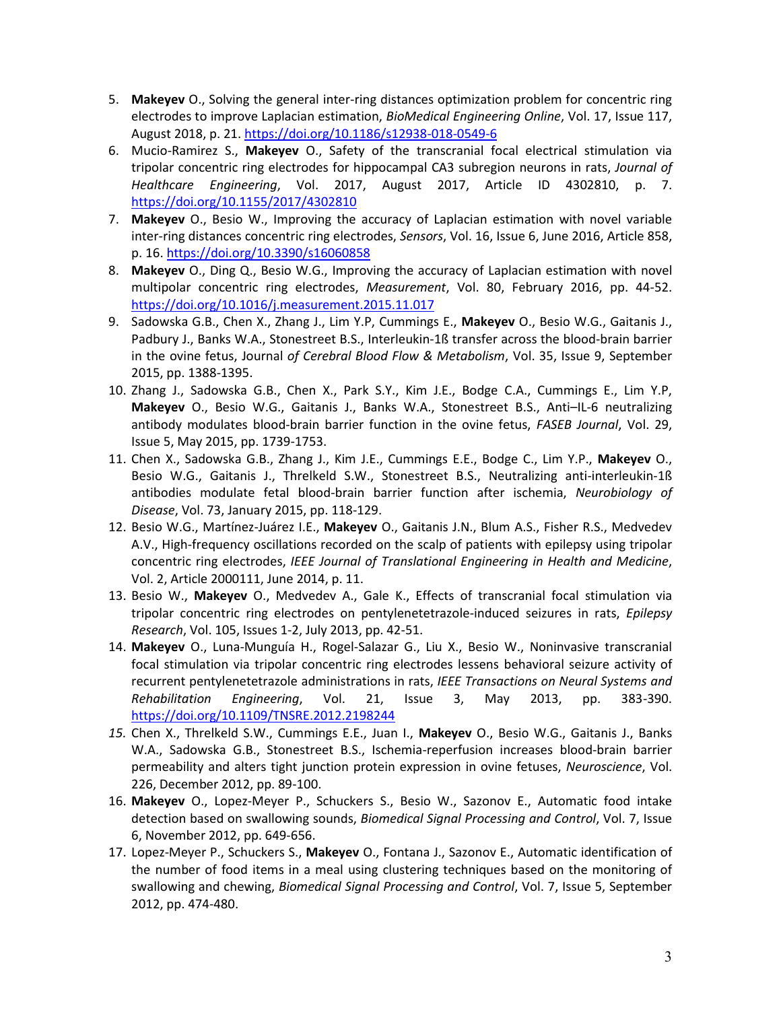- 5. **Makeyev** O., Solving the general inter-ring distances optimization problem for concentric ring electrodes to improve Laplacian estimation, *BioMedical Engineering Online*, Vol. 17, Issue 117, August 2018, p. 21. <https://doi.org/10.1186/s12938-018-0549-6>
- 6. Mucio-Ramirez S., **Makeyev** O., Safety of the transcranial focal electrical stimulation via tripolar concentric ring electrodes for hippocampal CA3 subregion neurons in rats, *Journal of Healthcare Engineering*, Vol. 2017, August 2017, Article ID 4302810, p. 7. <https://doi.org/10.1155/2017/4302810>
- 7. **Makeyev** O., Besio W., Improving the accuracy of Laplacian estimation with novel variable inter-ring distances concentric ring electrodes, *Sensors*, Vol. 16, Issue 6, June 2016, Article 858, p. 16[. https://doi.org/10.3390/s16060858](https://doi.org/10.3390/s16060858)
- 8. **Makeyev** O., Ding Q., Besio W.G., Improving the accuracy of Laplacian estimation with novel multipolar concentric ring electrodes, *Measurement*, Vol. 80, February 2016, pp. 44-52. <https://doi.org/10.1016/j.measurement.2015.11.017>
- 9. Sadowska G.B., Chen X., Zhang J., Lim Y.P, Cummings E., **Makeyev** O., Besio W.G., Gaitanis J., Padbury J., Banks W.A., Stonestreet B.S., Interleukin-1ß transfer across the blood-brain barrier in the ovine fetus, Journal *of Cerebral Blood Flow & Metabolism*, Vol. 35, Issue 9, September 2015, pp. 1388-1395.
- 10. Zhang J., Sadowska G.B., Chen X., Park S.Y., Kim J.E., Bodge C.A., Cummings E., Lim Y.P, **Makeyev** O., Besio W.G., Gaitanis J., Banks W.A., Stonestreet B.S., Anti–IL-6 neutralizing antibody modulates blood-brain barrier function in the ovine fetus, *FASEB Journal*, Vol. 29, Issue 5, May 2015, pp. 1739-1753.
- 11. Chen X., Sadowska G.B., Zhang J., Kim J.E., Cummings E.E., Bodge C., Lim Y.P., **Makeyev** O., Besio W.G., Gaitanis J., Threlkeld S.W., Stonestreet B.S., Neutralizing anti-interleukin-1ß antibodies modulate fetal blood-brain barrier function after ischemia, *Neurobiology of Disease*, Vol. 73, January 2015, pp. 118-129.
- 12. Besio W.G., Martínez-Juárez I.E., **Makeyev** O., Gaitanis J.N., Blum A.S., Fisher R.S., Medvedev A.V., High-frequency oscillations recorded on the scalp of patients with epilepsy using tripolar concentric ring electrodes, *IEEE Journal of Translational Engineering in Health and Medicine*, Vol. 2, Article 2000111, June 2014, p. 11.
- 13. Besio W., **Makeyev** O., Medvedev A., Gale K., Effects of transcranial focal stimulation via tripolar concentric ring electrodes on pentylenetetrazole-induced seizures in rats, *Epilepsy Research*, Vol. 105, Issues 1-2, July 2013, pp. 42-51.
- 14. **Makeyev** O., Luna-Munguía H., Rogel-Salazar G., Liu X., Besio W., Noninvasive transcranial focal stimulation via tripolar concentric ring electrodes lessens behavioral seizure activity of recurrent pentylenetetrazole administrations in rats, *IEEE Transactions on Neural Systems and Rehabilitation Engineering*, Vol. 21, Issue 3, May 2013, pp. 383-390. <https://doi.org/10.1109/TNSRE.2012.2198244>
- *15.* Chen X., Threlkeld S.W., Cummings E.E., Juan I., **Makeyev** O., Besio W.G., Gaitanis J., Banks W.A., Sadowska G.B., Stonestreet B.S., Ischemia-reperfusion increases blood-brain barrier permeability and alters tight junction protein expression in ovine fetuses, *Neuroscience*, Vol. 226, December 2012, pp. 89-100.
- 16. **Makeyev** O., Lopez-Meyer P., Schuckers S., Besio W., Sazonov E., Automatic food intake detection based on swallowing sounds, *Biomedical Signal Processing and Control*, Vol. 7, Issue 6, November 2012, pp. 649-656.
- 17. Lopez-Meyer P., Schuckers S., **Makeyev** O., Fontana J., Sazonov E., Automatic identification of the number of food items in a meal using clustering techniques based on the monitoring of swallowing and chewing, *Biomedical Signal Processing and Control*, Vol. 7, Issue 5, September 2012, pp. 474-480.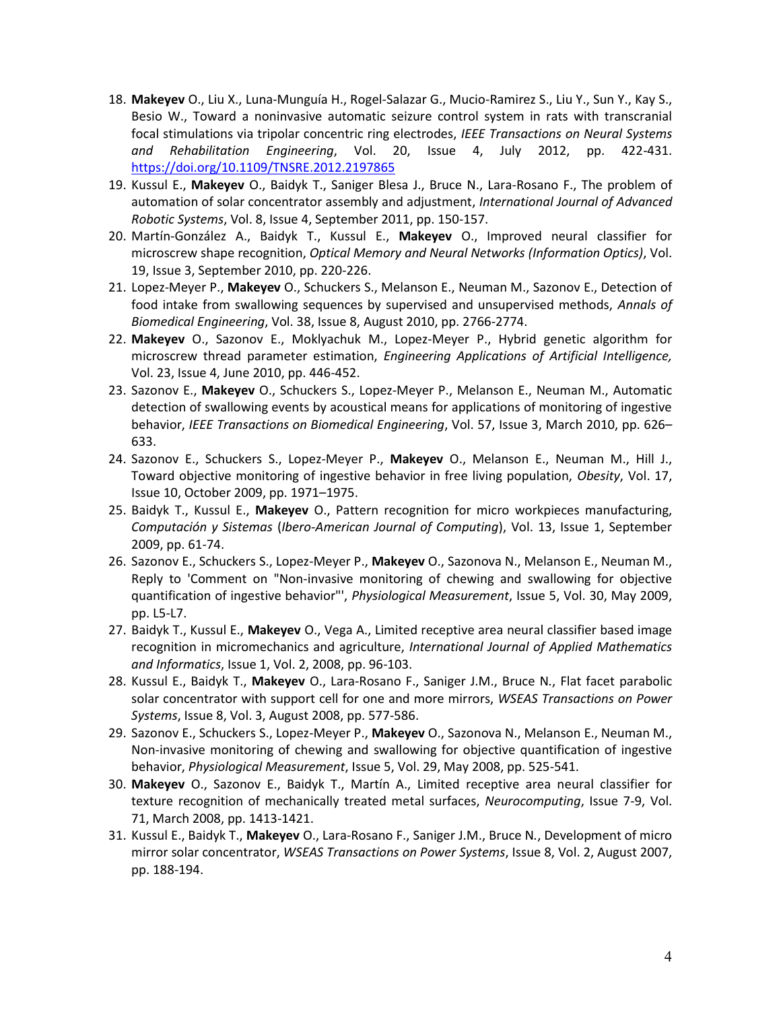- 18. **Makeyev** O., Liu X., Luna-Munguía H., Rogel-Salazar G., Mucio-Ramirez S., Liu Y., Sun Y., Kay S., Besio W., Toward a noninvasive automatic seizure control system in rats with transcranial focal stimulations via tripolar concentric ring electrodes, *IEEE Transactions on Neural Systems and Rehabilitation Engineering*, Vol. 20, Issue 4, July 2012, pp. 422-431. <https://doi.org/10.1109/TNSRE.2012.2197865>
- 19. Kussul E., **Makeyev** O., Baidyk T., Saniger Blesa J., Bruce N., Lara-Rosano F., The problem of automation of solar concentrator assembly and adjustment, *International Journal of Advanced Robotic Systems*, Vol. 8, Issue 4, September 2011, pp. 150-157.
- 20. Martín-González A., Baidyk T., Kussul E., **Makeyev** O., Improved neural classifier for microscrew shape recognition, *Optical Memory and Neural Networks (Information Optics)*, Vol. 19, Issue 3, September 2010, pp. 220-226.
- 21. Lopez-Meyer P., **Makeyev** O., Schuckers S., Melanson E., Neuman M., Sazonov E., Detection of food intake from swallowing sequences by supervised and unsupervised methods, *Annals of Biomedical Engineering*, Vol. 38, Issue 8, August 2010, pp. 2766-2774.
- 22. **Makeyev** O., Sazonov E., Moklyachuk M., Lopez-Meyer P., Hybrid genetic algorithm for microscrew thread parameter estimation, *Engineering Applications of Artificial Intelligence,*  Vol. 23, Issue 4, June 2010, pp. 446-452.
- 23. Sazonov E., **Makeyev** O., Schuckers S., Lopez-Meyer P., Melanson E., Neuman M., Automatic detection of swallowing events by acoustical means for applications of monitoring of ingestive behavior, *IEEE Transactions on Biomedical Engineering*, Vol. 57, Issue 3, March 2010, pp. 626– 633.
- 24. Sazonov E., Schuckers S., Lopez-Meyer P., **Makeyev** O., Melanson E., Neuman M., Hill J., Toward objective monitoring of ingestive behavior in free living population, *Obesity*, Vol. 17, Issue 10, October 2009, pp. 1971–1975.
- 25. Baidyk T., Kussul E., **Makeyev** O., Pattern recognition for micro workpieces manufacturing, *Computación y Sistemas* (*Ibero-American Journal of Computing*), Vol. 13, Issue 1, September 2009, pp. 61-74.
- 26. Sazonov E., Schuckers S., Lopez-Meyer P., **Makeyev** O., Sazonova N., Melanson E., Neuman M., Reply to 'Comment on "Non-invasive monitoring of chewing and swallowing for objective quantification of ingestive behavior"', *Physiological Measurement*, Issue 5, Vol. 30, May 2009, pp. L5-L7.
- 27. Baidyk T., Kussul E., **Makeyev** O., Vega A., Limited receptive area neural classifier based image recognition in micromechanics and agriculture, *International Journal of Applied Mathematics and Informatics*, Issue 1, Vol. 2, 2008, pp. 96-103.
- 28. Kussul E., Baidyk T., **Makeyev** O., Lara-Rosano F., Saniger J.M., Bruce N*.*, Flat facet parabolic solar concentrator with support cell for one and more mirrors, *WSEAS Transactions on Power Systems*, Issue 8, Vol. 3, August 2008, pp. 577-586.
- 29. Sazonov E., Schuckers S., Lopez-Meyer P., **Makeyev** O., Sazonova N., Melanson E., Neuman M., Non-invasive monitoring of chewing and swallowing for objective quantification of ingestive behavior, *Physiological Measurement*, Issue 5, Vol. 29, May 2008, pp. 525-541.
- 30. **Makeyev** O., Sazonov E., Baidyk T., Martín A., Limited receptive area neural classifier for texture recognition of mechanically treated metal surfaces, *Neurocomputing*, Issue 7-9, Vol. 71, March 2008, pp. 1413-1421.
- 31. Kussul E., Baidyk T., **Makeyev** O., Lara-Rosano F., Saniger J.M., Bruce N*.*, Development of micro mirror solar concentrator, *WSEAS Transactions on Power Systems*, Issue 8, Vol. 2, August 2007, pp. 188-194.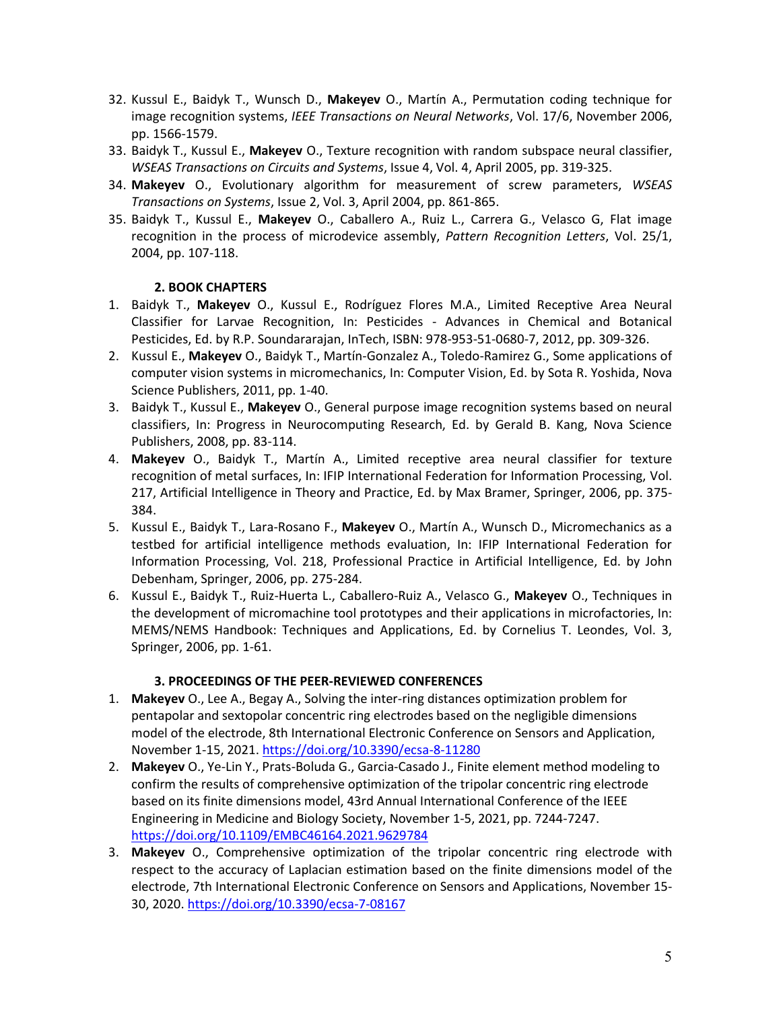- 32. Kussul E., Baidyk T., Wunsch D., **Makeyev** O., Martín A., Permutation coding technique for image recognition systems, *IEEE Transactions on Neural Networks*, Vol. 17/6, November 2006, pp. 1566-1579.
- 33. Baidyk T., Kussul E., **Makeyev** O., Texture recognition with random subspace neural classifier, *WSEAS Transactions on Circuits and Systems*, Issue 4, Vol. 4, April 2005, pp. 319-325.
- 34. **Makeyev** O., Evolutionary algorithm for measurement of screw parameters, *WSEAS Transactions on Systems*, Issue 2, Vol. 3, April 2004, pp. 861-865.
- 35. Baidyk T., Kussul E., **Makeyev** O., Caballero A., Ruiz L., Carrera G., Velasco G, Flat image recognition in the process of microdevice assembly, *Pattern Recognition Letters*, Vol. 25/1, 2004, pp. 107-118.

### **2. BOOK CHAPTERS**

- 1. Baidyk T., **Makeyev** O., Kussul E., Rodríguez Flores M.A., Limited Receptive Area Neural Classifier for Larvae Recognition, In: Pesticides - Advances in Chemical and Botanical Pesticides, Ed. by R.P. Soundararajan, InTech, ISBN: 978-953-51-0680-7, 2012, pp. 309-326.
- 2. Kussul E., **Makeyev** O., Baidyk T., Martín-Gonzalez A., Toledo-Ramirez G., Some applications of computer vision systems in micromechanics, In: Computer Vision, Ed. by Sota R. Yoshida, Nova Science Publishers, 2011, pp. 1-40.
- 3. Baidyk T., Kussul E., **Makeyev** O., General purpose image recognition systems based on neural classifiers, In: Progress in Neurocomputing Research, Ed. by Gerald B. Kang, Nova Science Publishers, 2008, pp. 83-114.
- 4. **Makeyev** O., Baidyk T., Martín A., Limited receptive area neural classifier for texture recognition of metal surfaces, In: IFIP International Federation for Information Processing, Vol. 217, Artificial Intelligence in Theory and Practice, Ed. by Max Bramer, Springer, 2006, pp. 375- 384.
- 5. Kussul E., Baidyk T., Lara-Rosano F., **Makeyev** O., Martín A., Wunsch D., Micromechanics as a testbed for artificial intelligence methods evaluation, In: IFIP International Federation for Information Processing, Vol. 218, Professional Practice in Artificial Intelligence, Ed. by John Debenham, Springer, 2006, pp. 275-284.
- 6. Kussul E., Baidyk T., Ruiz-Huerta L., Caballero-Ruiz A., Velasco G., **Makeyev** O., Techniques in the development of micromachine tool prototypes and their applications in microfactories, In: MEMS/NEMS Handbook: Techniques and Applications, Ed. by Cornelius T. Leondes, Vol. 3, Springer, 2006, pp. 1-61.

### **3. PROCEEDINGS OF THE PEER-REVIEWED CONFERENCES**

- 1. **Makeyev** O., Lee A., Begay A., Solving the inter-ring distances optimization problem for pentapolar and sextopolar concentric ring electrodes based on the negligible dimensions model of the electrode, 8th International Electronic Conference on Sensors and Application, November 1-15, 2021. <https://doi.org/10.3390/ecsa-8-11280>
- 2. **Makeyev** O., Ye-Lin Y., Prats-Boluda G., Garcia-Casado J., Finite element method modeling to confirm the results of comprehensive optimization of the tripolar concentric ring electrode based on its finite dimensions model, 43rd Annual International Conference of the IEEE Engineering in Medicine and Biology Society, November 1-5, 2021, pp. 7244-7247. <https://doi.org/10.1109/EMBC46164.2021.9629784>
- 3. **Makeyev** O., Comprehensive optimization of the tripolar concentric ring electrode with respect to the accuracy of Laplacian estimation based on the finite dimensions model of the electrode, 7th International Electronic Conference on Sensors and Applications, November 15- 30, 2020. <https://doi.org/10.3390/ecsa-7-08167>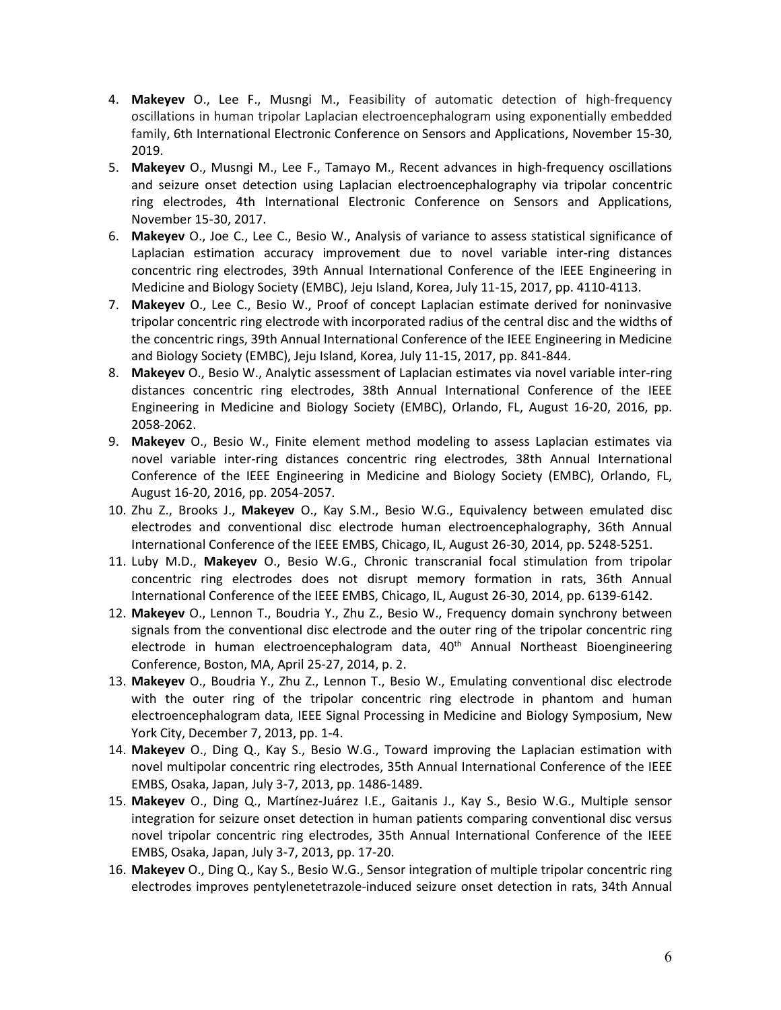- 4. **Makeyev** O., Lee F., Musngi M., Feasibility of automatic detection of high-frequency oscillations in human tripolar Laplacian electroencephalogram using exponentially embedded family, 6th International Electronic Conference on Sensors and Applications, November 15-30, 2019.
- 5. **Makeyev** O., Musngi M., Lee F., Tamayo M., Recent advances in high-frequency oscillations and seizure onset detection using Laplacian electroencephalography via tripolar concentric ring electrodes, 4th International Electronic Conference on Sensors and Applications, November 15-30, 2017.
- 6. **Makeyev** O., Joe C., Lee C., Besio W., Analysis of variance to assess statistical significance of Laplacian estimation accuracy improvement due to novel variable inter-ring distances concentric ring electrodes, 39th Annual International Conference of the IEEE Engineering in Medicine and Biology Society (EMBC), Jeju Island, Korea, July 11-15, 2017, pp. 4110-4113.
- 7. **Makeyev** O., Lee C., Besio W., Proof of concept Laplacian estimate derived for noninvasive tripolar concentric ring electrode with incorporated radius of the central disc and the widths of the concentric rings, 39th Annual International Conference of the IEEE Engineering in Medicine and Biology Society (EMBC), Jeju Island, Korea, July 11-15, 2017, pp. 841-844.
- 8. **Makeyev** O., Besio W., Analytic assessment of Laplacian estimates via novel variable inter-ring distances concentric ring electrodes, 38th Annual International Conference of the IEEE Engineering in Medicine and Biology Society (EMBC), Orlando, FL, August 16-20, 2016, pp. 2058-2062.
- 9. **Makeyev** O., Besio W., Finite element method modeling to assess Laplacian estimates via novel variable inter-ring distances concentric ring electrodes, 38th Annual International Conference of the IEEE Engineering in Medicine and Biology Society (EMBC), Orlando, FL, August 16-20, 2016, pp. 2054-2057.
- 10. Zhu Z., Brooks J., **Makeyev** O., Kay S.M., Besio W.G., Equivalency between emulated disc electrodes and conventional disc electrode human electroencephalography, 36th Annual International Conference of the IEEE EMBS, Chicago, IL, August 26-30, 2014, pp. 5248-5251.
- 11. Luby M.D., **Makeyev** O., Besio W.G., Chronic transcranial focal stimulation from tripolar concentric ring electrodes does not disrupt memory formation in rats, 36th Annual International Conference of the IEEE EMBS, Chicago, IL, August 26-30, 2014, pp. 6139-6142.
- 12. **Makeyev** O., Lennon T., Boudria Y., Zhu Z., Besio W., Frequency domain synchrony between signals from the conventional disc electrode and the outer ring of the tripolar concentric ring electrode in human electroencephalogram data, 40<sup>th</sup> Annual Northeast Bioengineering Conference, Boston, MA, April 25-27, 2014, p. 2.
- 13. **Makeyev** O., Boudria Y., Zhu Z., Lennon T., Besio W., Emulating conventional disc electrode with the outer ring of the tripolar concentric ring electrode in phantom and human electroencephalogram data, IEEE Signal Processing in Medicine and Biology Symposium, New York City, December 7, 2013, pp. 1-4.
- 14. **Makeyev** O., Ding Q., Kay S., Besio W.G., Toward improving the Laplacian estimation with novel multipolar concentric ring electrodes, 35th Annual International Conference of the IEEE EMBS, Osaka, Japan, July 3-7, 2013, pp. 1486-1489.
- 15. **Makeyev** O., Ding Q., Martínez-Juárez I.E., Gaitanis J., Kay S., Besio W.G., Multiple sensor integration for seizure onset detection in human patients comparing conventional disc versus novel tripolar concentric ring electrodes, 35th Annual International Conference of the IEEE EMBS, Osaka, Japan, July 3-7, 2013, pp. 17-20.
- 16. **Makeyev** O., Ding Q., Kay S., Besio W.G., Sensor integration of multiple tripolar concentric ring electrodes improves pentylenetetrazole-induced seizure onset detection in rats, 34th Annual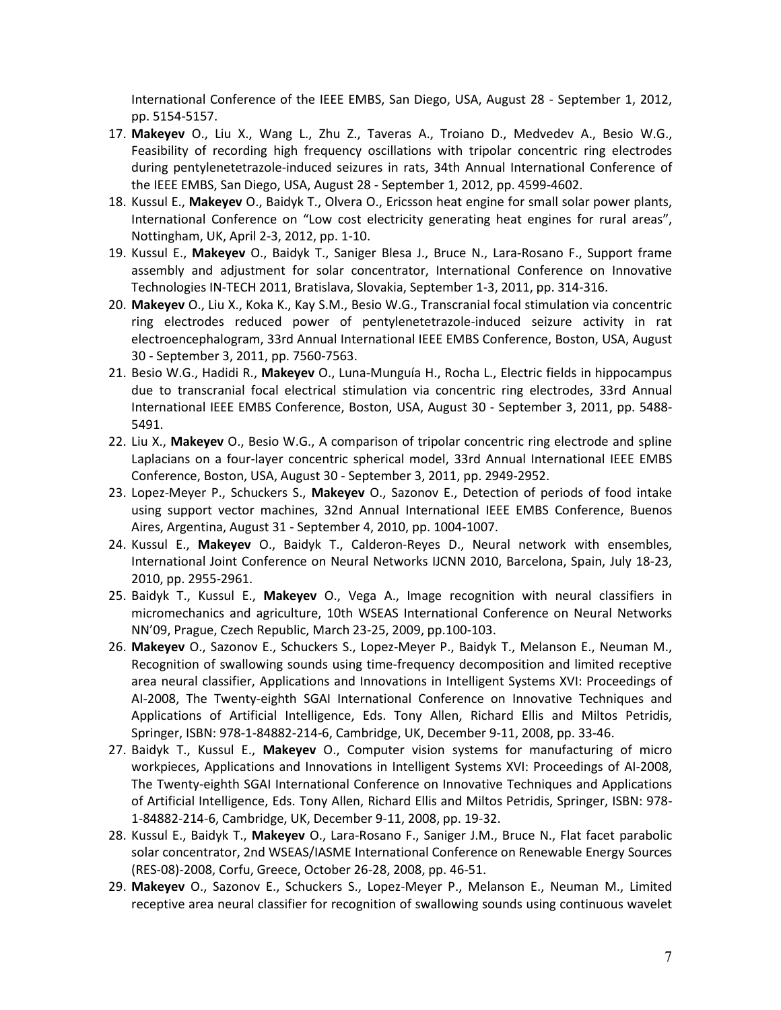International Conference of the IEEE EMBS, San Diego, USA, August 28 - September 1, 2012, pp. 5154-5157.

- 17. **Makeyev** O., Liu X., Wang L., Zhu Z., Taveras A., Troiano D., Medvedev A., Besio W.G., Feasibility of recording high frequency oscillations with tripolar concentric ring electrodes during pentylenetetrazole-induced seizures in rats, 34th Annual International Conference of the IEEE EMBS, San Diego, USA, August 28 - September 1, 2012, pp. 4599-4602.
- 18. Kussul E., **Makeyev** O., Baidyk T., Olvera O., Ericsson heat engine for small solar power plants, International Conference on "Low cost electricity generating heat engines for rural areas", Nottingham, UK, April 2-3, 2012, pp. 1-10.
- 19. Kussul E., **Makeyev** O., Baidyk T., Saniger Blesa J., Bruce N., Lara-Rosano F., Support frame assembly and adjustment for solar concentrator, International Conference on Innovative Technologies IN-TECH 2011, Bratislava, Slovakia, September 1-3, 2011, pp. 314-316.
- 20. **Makeyev** O., Liu X., Koka K., Kay S.M., Besio W.G., Transcranial focal stimulation via concentric ring electrodes reduced power of pentylenetetrazole-induced seizure activity in rat electroencephalogram, 33rd Annual International IEEE EMBS Conference, Boston, USA, August 30 - September 3, 2011, pp. 7560-7563.
- 21. Besio W.G., Hadidi R., **Makeyev** O., Luna-Munguía H., Rocha L., Electric fields in hippocampus due to transcranial focal electrical stimulation via concentric ring electrodes, 33rd Annual International IEEE EMBS Conference, Boston, USA, August 30 - September 3, 2011, pp. 5488- 5491.
- 22. Liu X., **Makeyev** O., Besio W.G., A comparison of tripolar concentric ring electrode and spline Laplacians on a four-layer concentric spherical model, 33rd Annual International IEEE EMBS Conference, Boston, USA, August 30 - September 3, 2011, pp. 2949-2952.
- 23. Lopez-Meyer P., Schuckers S., **Makeyev** O., Sazonov E., Detection of periods of food intake using support vector machines, 32nd Annual International IEEE EMBS Conference, Buenos Aires, Argentina, August 31 - September 4, 2010, pp. 1004-1007.
- 24. Kussul E., **Makeyev** O., Baidyk T., Calderon-Reyes D., Neural network with ensembles, International Joint Conference on Neural Networks IJCNN 2010, Barcelona, Spain, July 18-23, 2010, pp. 2955-2961.
- 25. Baidyk T., Kussul E., **Makeyev** O., Vega A., Image recognition with neural classifiers in micromechanics and agriculture, 10th WSEAS International Conference on Neural Networks NN'09, Prague, Czech Republic, March 23-25, 2009, pp.100-103.
- 26. **Makeyev** O., Sazonov E., Schuckers S., Lopez-Meyer P., Baidyk T., Melanson E., Neuman M., Recognition of swallowing sounds using time-frequency decomposition and limited receptive area neural classifier, Applications and Innovations in Intelligent Systems XVI: Proceedings of AI-2008, The Twenty-eighth SGAI International Conference on Innovative Techniques and Applications of Artificial Intelligence, Eds. Tony Allen, Richard Ellis and Miltos Petridis, Springer, ISBN: 978-1-84882-214-6, Cambridge, UK, December 9-11, 2008, pp. 33-46.
- 27. Baidyk T., Kussul E., **Makeyev** O., Computer vision systems for manufacturing of micro workpieces, Applications and Innovations in Intelligent Systems XVI: Proceedings of AI-2008, The Twenty-eighth SGAI International Conference on Innovative Techniques and Applications of Artificial Intelligence, Eds. Tony Allen, Richard Ellis and Miltos Petridis, Springer, ISBN: 978- 1-84882-214-6, Cambridge, UK, December 9-11, 2008, pp. 19-32.
- 28. Kussul E., Baidyk T., **Makeyev** O., Lara-Rosano F., Saniger J.M., Bruce N., Flat facet parabolic solar concentrator, 2nd WSEAS/IASME International Conference on Renewable Energy Sources (RES-08)-2008, Corfu, Greece, October 26-28, 2008, pp. 46-51.
- 29. **Makeyev** O., Sazonov E., Schuckers S., Lopez-Meyer P., Melanson E., Neuman M., Limited receptive area neural classifier for recognition of swallowing sounds using continuous wavelet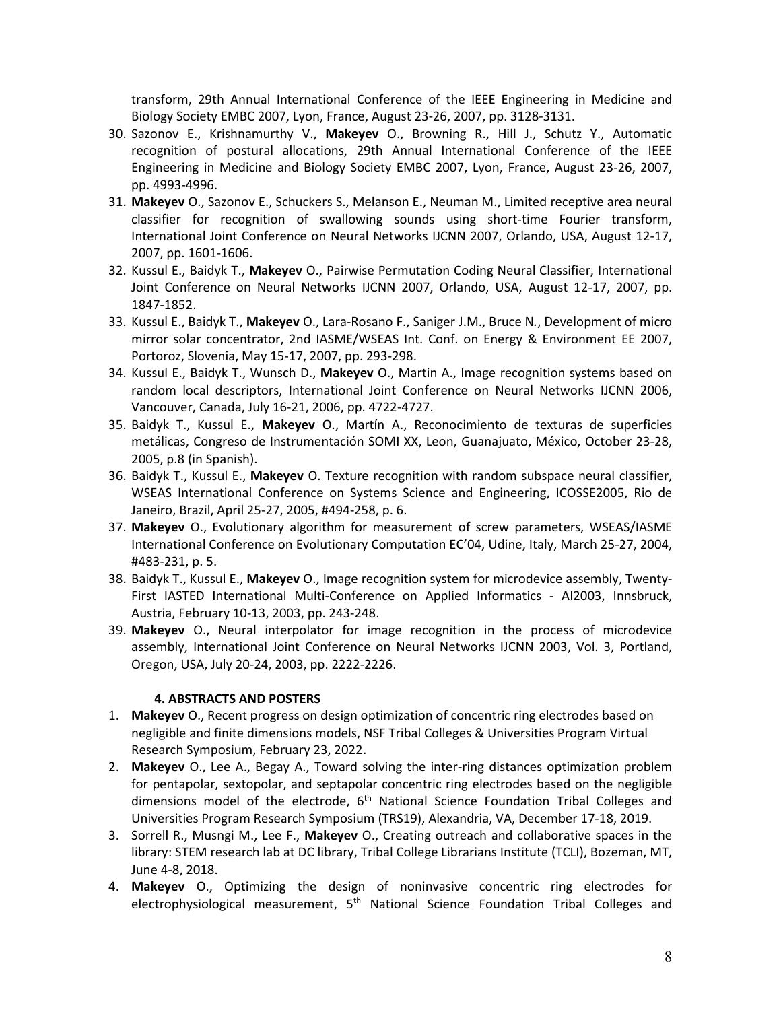transform, 29th Annual International Conference of the IEEE Engineering in Medicine and Biology Society EMBC 2007, Lyon, France, August 23-26, 2007, pp. 3128-3131.

- 30. Sazonov E., Krishnamurthy V., **Makeyev** O., Browning R., Hill J., Schutz Y., Automatic recognition of postural allocations, 29th Annual International Conference of the IEEE Engineering in Medicine and Biology Society EMBC 2007, Lyon, France, August 23-26, 2007, pp. 4993-4996.
- 31. **Makeyev** O., Sazonov E., Schuckers S., Melanson E., Neuman M., Limited receptive area neural classifier for recognition of swallowing sounds using short-time Fourier transform, International Joint Conference on Neural Networks IJCNN 2007, Orlando, USA, August 12-17, 2007, pp. 1601-1606.
- 32. Kussul E., Baidyk T., **Makeyev** O., Pairwise Permutation Coding Neural Classifier, International Joint Conference on Neural Networks IJCNN 2007, Orlando, USA, August 12-17, 2007, pp. 1847-1852.
- 33. Kussul E., Baidyk T., **Makeyev** O., Lara-Rosano F., Saniger J.M., Bruce N*.*, Development of micro mirror solar concentrator, 2nd IASME/WSEAS Int. Conf. on Energy & Environment EE 2007, Portoroz, Slovenia, May 15-17, 2007, pp. 293-298.
- 34. Kussul E., Baidyk T., Wunsch D., **Makeyev** O., Martin A., Image recognition systems based on random local descriptors, International Joint Conference on Neural Networks IJCNN 2006, Vancouver, Canada, July 16-21, 2006, pp. 4722-4727.
- 35. Baidyk T., Kussul E., **Makeyev** O., Martín A., Reconocimiento de texturas de superficies metálicas, Congreso de Instrumentación SOMI XX, Leon, Guanajuato, México, October 23-28, 2005, p.8 (in Spanish).
- 36. Baidyk T., Kussul E., **Makeyev** O. Texture recognition with random subspace neural classifier, WSEAS International Conference on Systems Science and Engineering, ICOSSE2005, Rio de Janeiro, Brazil, April 25-27, 2005, #494-258, p. 6.
- 37. **Makeyev** O., Evolutionary algorithm for measurement of screw parameters, WSEAS/IASME International Conference on Evolutionary Computation EC'04, Udine, Italy, March 25-27, 2004, #483-231, p. 5.
- 38. Baidyk T., Kussul E., **Makeyev** O., Image recognition system for microdevice assembly, Twenty-First IASTED International Multi-Conference on Applied Informatics - AI2003, Innsbruck, Austria, February 10-13, 2003, pp. 243-248.
- 39. **Makeyev** O., Neural interpolator for image recognition in the process of microdevice assembly, International Joint Conference on Neural Networks IJCNN 2003, Vol. 3, Portland, Oregon, USA, July 20-24, 2003, pp. 2222-2226.

## **4. ABSTRACTS AND POSTERS**

- 1. **Makeyev** O., Recent progress on design optimization of concentric ring electrodes based on negligible and finite dimensions models, NSF Tribal Colleges & Universities Program Virtual Research Symposium, February 23, 2022.
- 2. **Makeyev** O., Lee A., Begay A., Toward solving the inter-ring distances optimization problem for pentapolar, sextopolar, and septapolar concentric ring electrodes based on the negligible dimensions model of the electrode,  $6<sup>th</sup>$  National Science Foundation Tribal Colleges and Universities Program Research Symposium (TRS19), Alexandria, VA, December 17-18, 2019.
- 3. Sorrell R., Musngi M., Lee F., **Makeyev** O., Creating outreach and collaborative spaces in the library: STEM research lab at DC library, Tribal College Librarians Institute (TCLI), Bozeman, MT, June 4-8, 2018.
- 4. **Makeyev** O., Optimizing the design of noninvasive concentric ring electrodes for electrophysiological measurement, 5<sup>th</sup> National Science Foundation Tribal Colleges and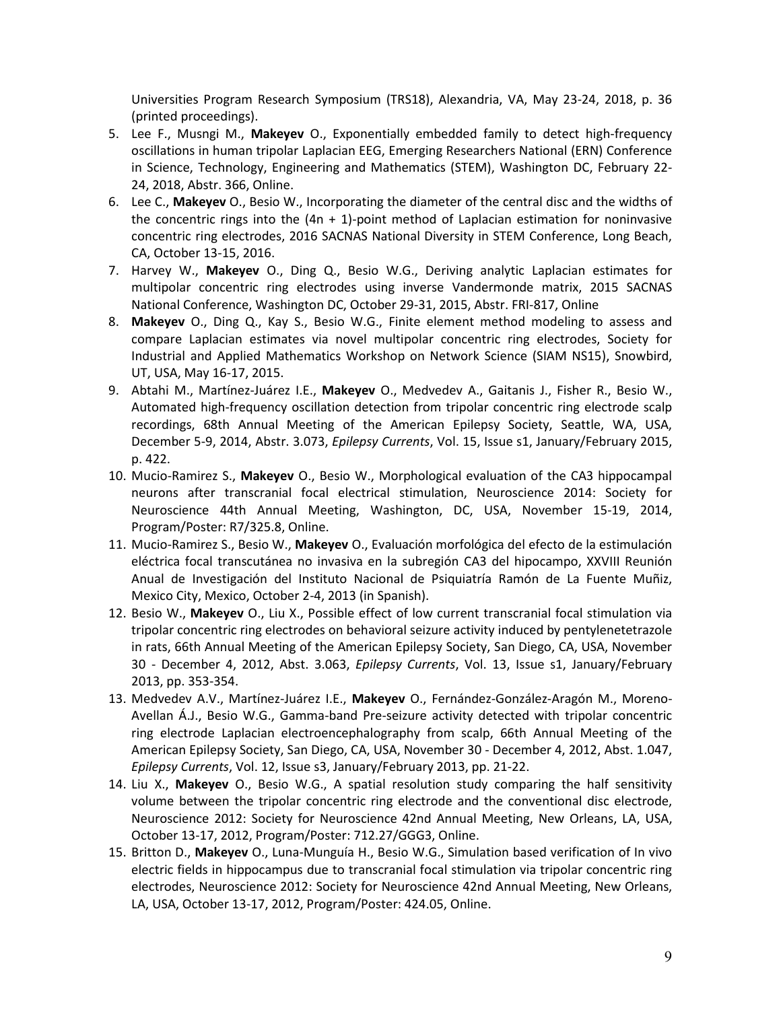Universities Program Research Symposium (TRS18), Alexandria, VA, May 23-24, 2018, p. 36 (printed proceedings).

- 5. Lee F., Musngi M., **Makeyev** O., Exponentially embedded family to detect high-frequency oscillations in human tripolar Laplacian EEG, Emerging Researchers National (ERN) Conference in Science, Technology, Engineering and Mathematics (STEM), Washington DC, February 22- 24, 2018, Abstr. 366, Online.
- 6. Lee C., **Makeyev** O., Besio W., Incorporating the diameter of the central disc and the widths of the concentric rings into the  $(4n + 1)$ -point method of Laplacian estimation for noninvasive concentric ring electrodes, 2016 SACNAS National Diversity in STEM Conference, Long Beach, CA, October 13-15, 2016.
- 7. Harvey W., **Makeyev** O., Ding Q., Besio W.G., Deriving analytic Laplacian estimates for multipolar concentric ring electrodes using inverse Vandermonde matrix, 2015 SACNAS National Conference, Washington DC, October 29-31, 2015, Abstr. FRI-817, Online
- 8. **Makeyev** O., Ding Q., Kay S., Besio W.G., Finite element method modeling to assess and compare Laplacian estimates via novel multipolar concentric ring electrodes, Society for Industrial and Applied Mathematics Workshop on Network Science (SIAM NS15), Snowbird, UT, USA, May 16-17, 2015.
- 9. Abtahi M., Martínez-Juárez I.E., **Makeyev** O., Medvedev A., Gaitanis J., Fisher R., Besio W., Automated high-frequency oscillation detection from tripolar concentric ring electrode scalp recordings, 68th Annual Meeting of the American Epilepsy Society, Seattle, WA, USA, December 5-9, 2014, Abstr. 3.073, *Epilepsy Currents*, Vol. 15, Issue s1, January/February 2015, p. 422.
- 10. Mucio-Ramirez S., **Makeyev** O., Besio W., Morphological evaluation of the CA3 hippocampal neurons after transcranial focal electrical stimulation, Neuroscience 2014: Society for Neuroscience 44th Annual Meeting, Washington, DC, USA, November 15-19, 2014, Program/Poster: R7/325.8, Online.
- 11. Mucio-Ramirez S., Besio W., **Makeyev** O., Evaluación morfológica del efecto de la estimulación eléctrica focal transcutánea no invasiva en la subregión CA3 del hipocampo, XXVIII Reunión Anual de Investigación del Instituto Nacional de Psiquiatría Ramón de La Fuente Muñiz, Mexico City, Mexico, October 2-4, 2013 (in Spanish).
- 12. Besio W., **Makeyev** O., Liu X., Possible effect of low current transcranial focal stimulation via tripolar concentric ring electrodes on behavioral seizure activity induced by pentylenetetrazole in rats, 66th Annual Meeting of the American Epilepsy Society, San Diego, CA, USA, November 30 - December 4, 2012, Abst. 3.063, *Epilepsy Currents*, Vol. 13, Issue s1, January/February 2013, pp. 353-354.
- 13. Medvedev A.V., Martínez-Juárez I.E., **Makeyev** O., Fernández-González-Aragón M., Moreno-Avellan Á.J., Besio W.G., Gamma-band Pre-seizure activity detected with tripolar concentric ring electrode Laplacian electroencephalography from scalp, 66th Annual Meeting of the American Epilepsy Society, San Diego, CA, USA, November 30 - December 4, 2012, Abst. 1.047, *Epilepsy Currents*, Vol. 12, Issue s3, January/February 2013, pp. 21-22.
- 14. Liu X., **Makeyev** O., Besio W.G., A spatial resolution study comparing the half sensitivity volume between the tripolar concentric ring electrode and the conventional disc electrode, Neuroscience 2012: Society for Neuroscience 42nd Annual Meeting, New Orleans, LA, USA, October 13-17, 2012, Program/Poster: 712.27/GGG3, Online.
- 15. Britton D., **Makeyev** O., Luna-Munguía H., Besio W.G., Simulation based verification of In vivo electric fields in hippocampus due to transcranial focal stimulation via tripolar concentric ring electrodes, Neuroscience 2012: Society for Neuroscience 42nd Annual Meeting, New Orleans, LA, USA, October 13-17, 2012, Program/Poster: 424.05, Online.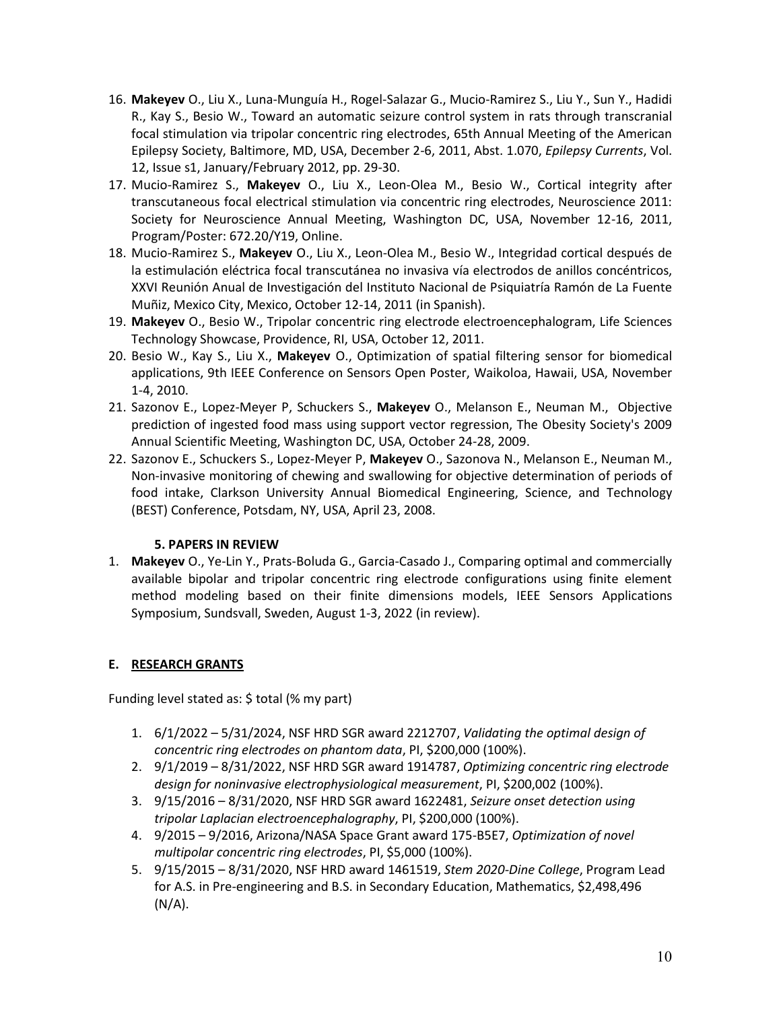- 16. **Makeyev** O., Liu X., Luna-Munguía H., Rogel-Salazar G., Mucio-Ramirez S., Liu Y., Sun Y., Hadidi R., Kay S., Besio W., Toward an automatic seizure control system in rats through transcranial focal stimulation via tripolar concentric ring electrodes, 65th Annual Meeting of the American Epilepsy Society, Baltimore, MD, USA, December 2-6, 2011, Abst. 1.070, *Epilepsy Currents*, Vol. 12, Issue s1, January/February 2012, pp. 29-30.
- 17. Mucio-Ramirez S., **Makeyev** O., Liu X., Leon-Olea M., Besio W., Cortical integrity after transcutaneous focal electrical stimulation via concentric ring electrodes, Neuroscience 2011: Society for Neuroscience Annual Meeting, Washington DC, USA, November 12-16, 2011, Program/Poster: 672.20/Y19, Online.
- 18. Mucio-Ramirez S., **Makeyev** O., Liu X., Leon-Olea M., Besio W., Integridad cortical después de la estimulación eléctrica focal transcutánea no invasiva vía electrodos de anillos concéntricos, XXVI Reunión Anual de Investigación del Instituto Nacional de Psiquiatría Ramón de La Fuente Muñiz, Mexico City, Mexico, October 12-14, 2011 (in Spanish).
- 19. **Makeyev** O., Besio W., Tripolar concentric ring electrode electroencephalogram, Life Sciences Technology Showcase, Providence, RI, USA, October 12, 2011.
- 20. Besio W., Kay S., Liu X., **Makeyev** O., Optimization of spatial filtering sensor for biomedical applications, 9th IEEE Conference on Sensors Open Poster, Waikoloa, Hawaii, USA, November 1-4, 2010.
- 21. Sazonov E., Lopez-Meyer P, Schuckers S., **Makeyev** O., Melanson E., Neuman M., Objective prediction of ingested food mass using support vector regression, The Obesity Society's 2009 Annual Scientific Meeting, Washington DC, USA, October 24-28, 2009.
- 22. Sazonov E., Schuckers S., Lopez-Meyer P, **Makeyev** O., Sazonova N., Melanson E., Neuman M., Non-invasive monitoring of chewing and swallowing for objective determination of periods of food intake, Clarkson University Annual Biomedical Engineering, Science, and Technology (BEST) Conference, Potsdam, NY, USA, April 23, 2008.

## **5. PAPERS IN REVIEW**

1. **Makeyev** O., Ye-Lin Y., Prats-Boluda G., Garcia-Casado J., Comparing optimal and commercially available bipolar and tripolar concentric ring electrode configurations using finite element method modeling based on their finite dimensions models, IEEE Sensors Applications Symposium, Sundsvall, Sweden, August 1-3, 2022 (in review).

## **E. RESEARCH GRANTS**

Funding level stated as: \$ total (% my part)

- 1. 6/1/2022 5/31/2024, NSF HRD SGR award 2212707, *Validating the optimal design of concentric ring electrodes on phantom data*, PI, \$200,000 (100%).
- 2. 9/1/2019 8/31/2022, NSF HRD SGR award 1914787, *Optimizing concentric ring electrode design for noninvasive electrophysiological measurement*, PI, \$200,002 (100%).
- 3. 9/15/2016 8/31/2020, NSF HRD SGR award 1622481, *Seizure onset detection using tripolar Laplacian electroencephalography*, PI, \$200,000 (100%).
- 4. 9/2015 9/2016, Arizona/NASA Space Grant award 175-B5E7, *Optimization of novel multipolar concentric ring electrodes*, PI, \$5,000 (100%).
- 5. 9/15/2015 8/31/2020, NSF HRD award 1461519, *Stem 2020-Dine College*, Program Lead for A.S. in Pre-engineering and B.S. in Secondary Education, Mathematics, \$2,498,496  $(N/A)$ .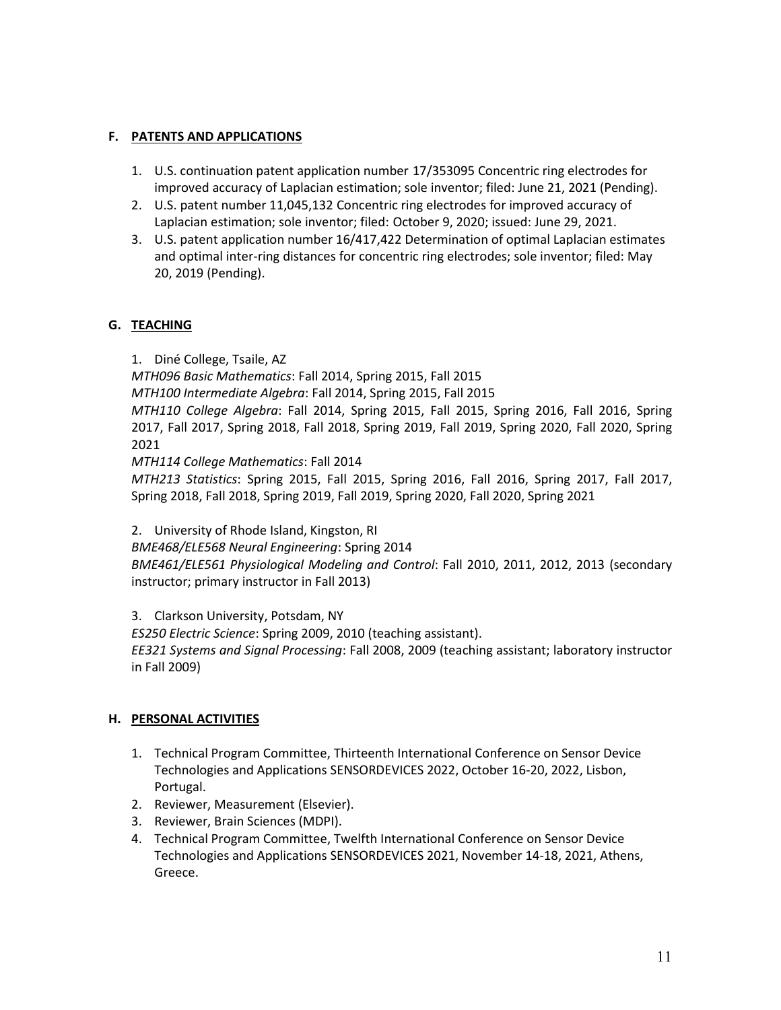### **F. PATENTS AND APPLICATIONS**

- 1. U.S. continuation patent application number 17/353095 Concentric ring electrodes for improved accuracy of Laplacian estimation; sole inventor; filed: June 21, 2021 (Pending).
- 2. U.S. patent number 11,045,132 Concentric ring electrodes for improved accuracy of Laplacian estimation; sole inventor; filed: October 9, 2020; issued: June 29, 2021.
- 3. U.S. patent application number 16/417,422 Determination of optimal Laplacian estimates and optimal inter-ring distances for concentric ring electrodes; sole inventor; filed: May 20, 2019 (Pending).

### **G. TEACHING**

1. Diné College, Tsaile, AZ *MTH096 Basic Mathematics*: Fall 2014, Spring 2015, Fall 2015 *MTH100 Intermediate Algebra*: Fall 2014, Spring 2015, Fall 2015 *MTH110 College Algebra*: Fall 2014, Spring 2015, Fall 2015, Spring 2016, Fall 2016, Spring 2017, Fall 2017, Spring 2018, Fall 2018, Spring 2019, Fall 2019, Spring 2020, Fall 2020, Spring 2021 *MTH114 College Mathematics*: Fall 2014

*MTH213 Statistics*: Spring 2015, Fall 2015, Spring 2016, Fall 2016, Spring 2017, Fall 2017, Spring 2018, Fall 2018, Spring 2019, Fall 2019, Spring 2020, Fall 2020, Spring 2021

2. University of Rhode Island, Kingston, RI

*BME468/ELE568 Neural Engineering*: Spring 2014

*BME461/ELE561 Physiological Modeling and Control*: Fall 2010, 2011, 2012, 2013 (secondary instructor; primary instructor in Fall 2013)

3. Clarkson University, Potsdam, NY

*ES250 Electric Science*: Spring 2009, 2010 (teaching assistant).

*EE321 Systems and Signal Processing*: Fall 2008, 2009 (teaching assistant; laboratory instructor in Fall 2009)

### **H. PERSONAL ACTIVITIES**

- 1. Technical Program Committee, Thirteenth International Conference on Sensor Device Technologies and Applications SENSORDEVICES 2022, October 16-20, 2022, Lisbon, Portugal.
- 2. Reviewer, Measurement (Elsevier).
- 3. Reviewer, Brain Sciences (MDPI).
- 4. Technical Program Committee, Twelfth International Conference on Sensor Device Technologies and Applications SENSORDEVICES 2021, November 14-18, 2021, Athens, Greece.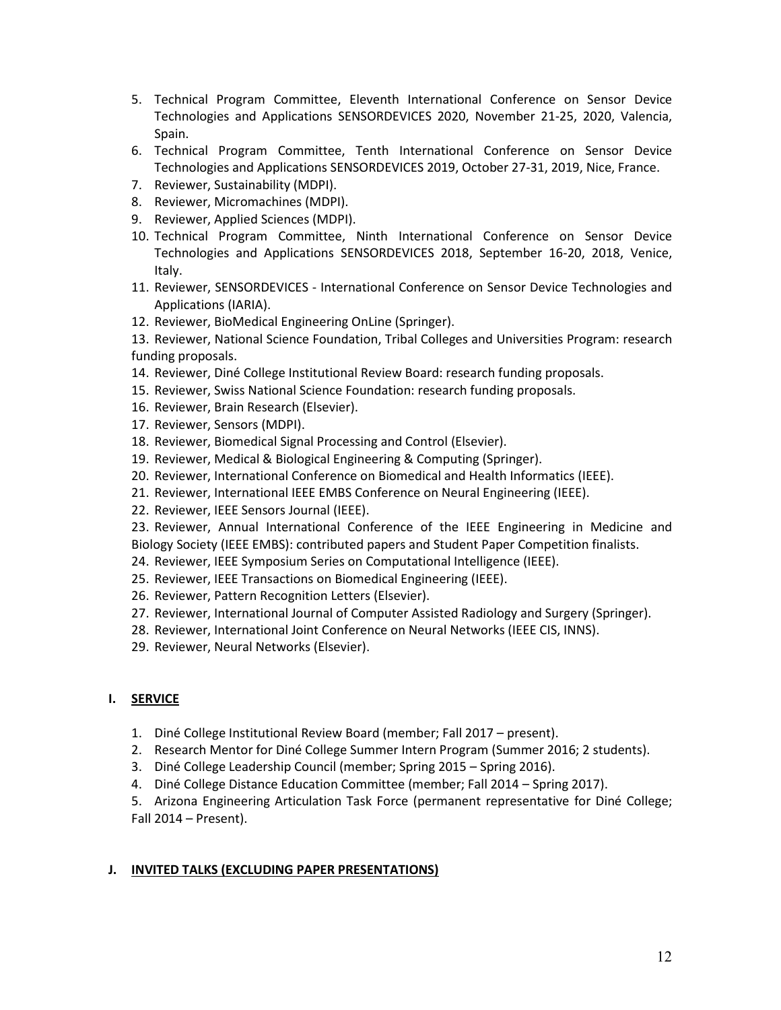- 5. Technical Program Committee, Eleventh International Conference on Sensor Device Technologies and Applications SENSORDEVICES 2020, November 21-25, 2020, Valencia, Spain.
- 6. Technical Program Committee, Tenth International Conference on Sensor Device Technologies and Applications SENSORDEVICES 2019, October 27-31, 2019, Nice, France.
- 7. Reviewer, Sustainability (MDPI).
- 8. Reviewer, Micromachines (MDPI).
- 9. Reviewer, Applied Sciences (MDPI).
- 10. Technical Program Committee, Ninth International Conference on Sensor Device Technologies and Applications SENSORDEVICES 2018, September 16-20, 2018, Venice, Italy.
- 11. Reviewer, SENSORDEVICES International Conference on Sensor Device Technologies and Applications (IARIA).
- 12. Reviewer, BioMedical Engineering OnLine (Springer).
- 13. Reviewer, National Science Foundation, Tribal Colleges and Universities Program: research funding proposals.
- 14. Reviewer, Diné College Institutional Review Board: research funding proposals.
- 15. Reviewer, Swiss National Science Foundation: research funding proposals.
- 16. Reviewer, Brain Research (Elsevier).
- 17. Reviewer, Sensors (MDPI).
- 18. Reviewer, Biomedical Signal Processing and Control (Elsevier).
- 19. Reviewer, Medical & Biological Engineering & Computing (Springer).
- 20. Reviewer, International Conference on Biomedical and Health Informatics (IEEE).
- 21. Reviewer, International IEEE EMBS Conference on Neural Engineering (IEEE).
- 22. Reviewer, IEEE Sensors Journal (IEEE).
- 23. Reviewer, Annual International Conference of the IEEE Engineering in Medicine and Biology Society (IEEE EMBS): contributed papers and Student Paper Competition finalists.
- 24. Reviewer, IEEE Symposium Series on Computational Intelligence (IEEE).
- 25. Reviewer, IEEE Transactions on Biomedical Engineering (IEEE).
- 26. Reviewer, Pattern Recognition Letters (Elsevier).
- 27. Reviewer, International Journal of Computer Assisted Radiology and Surgery (Springer).
- 28. Reviewer, International Joint Conference on Neural Networks (IEEE CIS, INNS).
- 29. Reviewer, Neural Networks (Elsevier).

### **I. SERVICE**

- 1. Diné College Institutional Review Board (member; Fall 2017 present).
- 2. Research Mentor for Diné College Summer Intern Program (Summer 2016; 2 students).
- 3. Diné College Leadership Council (member; Spring 2015 Spring 2016).
- 4. Diné College Distance Education Committee (member; Fall 2014 Spring 2017).
- 5. Arizona Engineering Articulation Task Force (permanent representative for Diné College; Fall 2014 – Present).

## **J. INVITED TALKS (EXCLUDING PAPER PRESENTATIONS)**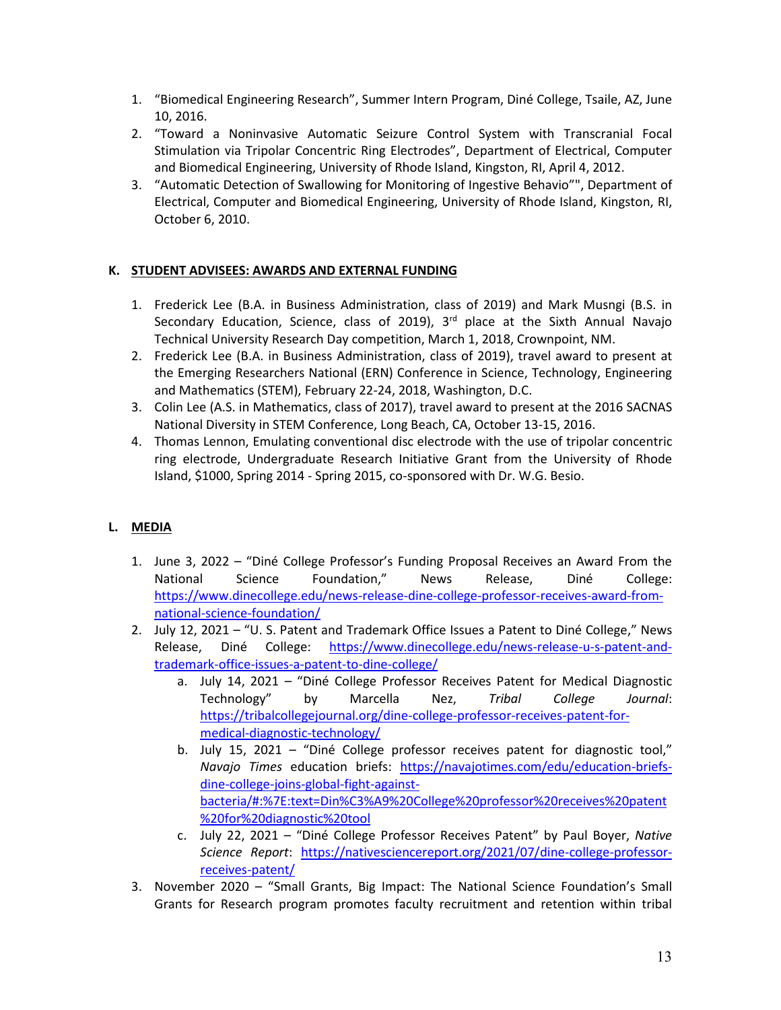- 1. "Biomedical Engineering Research", Summer Intern Program, Diné College, Tsaile, AZ, June 10, 2016.
- 2. "Toward a Noninvasive Automatic Seizure Control System with Transcranial Focal Stimulation via Tripolar Concentric Ring Electrodes", Department of Electrical, Computer and Biomedical Engineering, University of Rhode Island, Kingston, RI, April 4, 2012.
- 3. "Automatic Detection of Swallowing for Monitoring of Ingestive Behavio"", Department of Electrical, Computer and Biomedical Engineering, University of Rhode Island, Kingston, RI, October 6, 2010.

# **K. STUDENT ADVISEES: AWARDS AND EXTERNAL FUNDING**

- 1. Frederick Lee (B.A. in Business Administration, class of 2019) and Mark Musngi (B.S. in Secondary Education, Science, class of 2019),  $3<sup>rd</sup>$  place at the Sixth Annual Navajo Technical University Research Day competition, March 1, 2018, Crownpoint, NM.
- 2. Frederick Lee (B.A. in Business Administration, class of 2019), travel award to present at the Emerging Researchers National (ERN) Conference in Science, Technology, Engineering and Mathematics (STEM), February 22-24, 2018, Washington, D.C.
- 3. Colin Lee (A.S. in Mathematics, class of 2017), travel award to present at the 2016 SACNAS National Diversity in STEM Conference, Long Beach, CA, October 13-15, 2016.
- 4. Thomas Lennon, Emulating conventional disc electrode with the use of tripolar concentric ring electrode, Undergraduate Research Initiative Grant from the University of Rhode Island, \$1000, Spring 2014 - Spring 2015, co-sponsored with Dr. W.G. Besio.

# **L. MEDIA**

- 1. June 3, 2022 "Diné College Professor's Funding Proposal Receives an Award From the National Science Foundation," News Release, Diné College: [https://www.dinecollege.edu/news-release-dine-college-professor-receives-award-from](https://www.dinecollege.edu/news-release-dine-college-professor-receives-award-from-national-science-foundation/)[national-science-foundation/](https://www.dinecollege.edu/news-release-dine-college-professor-receives-award-from-national-science-foundation/)
- 2. July 12, 2021 "U. S. Patent and Trademark Office Issues a Patent to Diné College," News Release, Diné College: [https://www.dinecollege.edu/news-release-u-s-patent-and](https://www.dinecollege.edu/news-release-u-s-patent-and-trademark-office-issues-a-patent-to-dine-college/)[trademark-office-issues-a-patent-to-dine-college/](https://www.dinecollege.edu/news-release-u-s-patent-and-trademark-office-issues-a-patent-to-dine-college/)
	- a. July 14, 2021 "Diné College Professor Receives Patent for Medical Diagnostic Technology" by Marcella Nez, *Tribal College Journal*: [https://tribalcollegejournal.org/dine-college-professor-receives-patent-for](https://tribalcollegejournal.org/dine-college-professor-receives-patent-for-medical-diagnostic-technology/)[medical-diagnostic-technology/](https://tribalcollegejournal.org/dine-college-professor-receives-patent-for-medical-diagnostic-technology/)
	- b. July 15, 2021 "Diné College professor receives patent for diagnostic tool," *Navajo Times* education briefs: [https://navajotimes.com/edu/education-briefs](https://navajotimes.com/edu/education-briefs-dine-college-joins-global-fight-against-bacteria/#:%7E:text=Din%C3%A9%20College%20professor%20receives%20patent%20for%20diagnostic%20tool)[dine-college-joins-global-fight-against](https://navajotimes.com/edu/education-briefs-dine-college-joins-global-fight-against-bacteria/#:%7E:text=Din%C3%A9%20College%20professor%20receives%20patent%20for%20diagnostic%20tool)[bacteria/#:%7E:text=Din%C3%A9%20College%20professor%20receives%20patent](https://navajotimes.com/edu/education-briefs-dine-college-joins-global-fight-against-bacteria/#:%7E:text=Din%C3%A9%20College%20professor%20receives%20patent%20for%20diagnostic%20tool) [%20for%20diagnostic%20tool](https://navajotimes.com/edu/education-briefs-dine-college-joins-global-fight-against-bacteria/#:%7E:text=Din%C3%A9%20College%20professor%20receives%20patent%20for%20diagnostic%20tool)
	- c. July 22, 2021 "Diné College Professor Receives Patent" by Paul Boyer, *Native Science Report*: [https://nativesciencereport.org/2021/07/dine-college-professor](https://nativesciencereport.org/2021/07/dine-college-professor-receives-patent/)[receives-patent/](https://nativesciencereport.org/2021/07/dine-college-professor-receives-patent/)
- 3. November 2020 "Small Grants, Big Impact: The National Science Foundation's Small Grants for Research program promotes faculty recruitment and retention within tribal